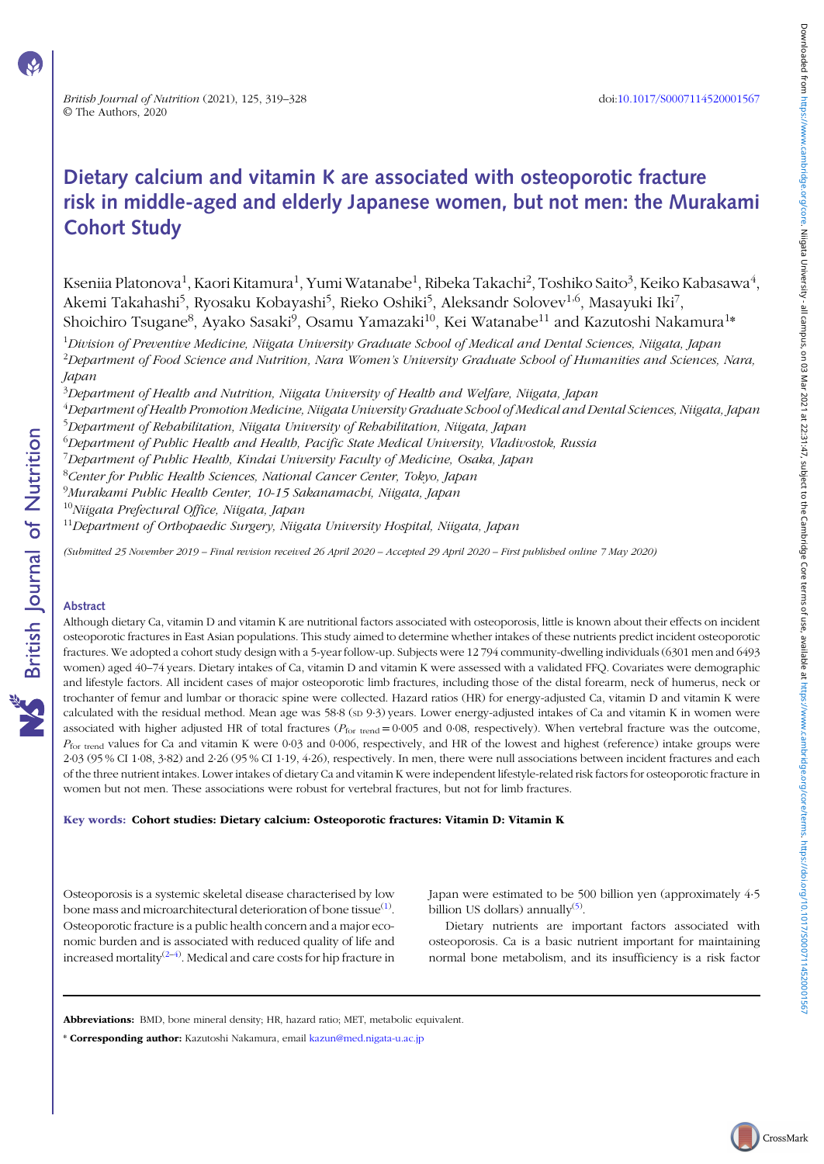# Dietary calcium and vitamin K are associated with osteoporotic fracture risk in middle-aged and elderly Japanese women, but not men: the Murakami Cohort Study

Kseniia Platonova $^1$ , Kaori Kitamura $^1$ , Yumi Watanabe $^1$ , Ribeka Takachi $^2$ , Toshiko Saito $^3$ , Keiko Kabasawa $^4\!$ , Akemi Takahashi<sup>5</sup>, Ryosaku Kobayashi<sup>5</sup>, Rieko Oshiki<sup>5</sup>, Aleksandr Solovev<sup>1,6</sup>, Masayuki Iki<sup>7</sup>, Shoichiro Tsugane $^8$ , Ayako Sasaki $^9$ , Osamu Yamazaki $^{10}$ , Kei Watanabe $^{11}$  and Kazutoshi Nakamura $^{1*}$ 

<sup>1</sup>Division of Preventive Medicine, Niigata University Graduate School of Medical and Dental Sciences, Niigata, Japan  $^2$ Department of Food Science and Nutrition, Nara Women's University Graduate School of Humanities and Sciences, Nara, Japan

 $^3$ Department of Health and Nutrition, Niigata University of Health and Welfare, Niigata, Japan

<sup>4</sup>Department of Health Promotion Medicine, Niigata University Graduate School of Medical and Dental Sciences, Niigata, Japan <sup>5</sup>Department of Rehabilitation, Niigata University of Rehabilitation, Niigata, Japan

 $^6$ Department of Public Health and Health, Pacific State Medical University, Vladivostok, Russia

<sup>7</sup>Department of Public Health, Kindai University Faculty of Medicine, Osaka, Japan

<sup>8</sup>Center for Public Health Sciences, National Cancer Center, Tokyo, Japan

9 Murakami Public Health Center, 10-15 Sakanamachi, Niigata, Japan

<sup>10</sup>Niigata Prefectural Office, Niigata, Japan

<sup>11</sup>Department of Orthopaedic Surgery, Niigata University Hospital, Niigata, Japan

(Submitted 25 November 2019 – Final revision received 26 April 2020 – Accepted 29 April 2020 – First published online 7 May 2020)

## Abstract

Although dietary Ca, vitamin D and vitamin K are nutritional factors associated with osteoporosis, little is known about their effects on incident osteoporotic fractures in East Asian populations. This study aimed to determine whether intakes of these nutrients predict incident osteoporotic fractures. We adopted a cohort study design with a 5-year follow-up. Subjects were 12 794 community-dwelling individuals (6301 men and 6493 women) aged 40–74 years. Dietary intakes of Ca, vitamin D and vitamin K were assessed with a validated FFQ. Covariates were demographic and lifestyle factors. All incident cases of major osteoporotic limb fractures, including those of the distal forearm, neck of humerus, neck or trochanter of femur and lumbar or thoracic spine were collected. Hazard ratios (HR) for energy-adjusted Ca, vitamin D and vitamin K were calculated with the residual method. Mean age was 58·8 (sp 9·3) years. Lower energy-adjusted intakes of Ca and vitamin K in women were associated with higher adjusted HR of total fractures ( $P_{\text{for trend}} = 0.005$  and 0.08, respectively). When vertebral fracture was the outcome,  $P_{\text{for trend}}$  values for Ca and vitamin K were 0.03 and 0.006, respectively, and HR of the lowest and highest (reference) intake groups were 2·03 (95 % CI 1·08, 3·82) and 2·26 (95 % CI 1·19, 4·26), respectively. In men, there were null associations between incident fractures and each of the three nutrient intakes. Lower intakes of dietary Ca and vitamin K were independent lifestyle-related risk factors for osteoporotic fracture in women but not men. These associations were robust for vertebral fractures, but not for limb fractures.

#### Key words: Cohort studies: Dietary calcium: Osteoporotic fractures: Vitamin D: Vitamin K

Osteoporosis is a systemic skeletal disease characterised by low bone mass and microarchitectural deterioration of bone tissue $^{\text{\tiny{(1)}}}.$ Osteoporotic fracture is a public health concern and a major economic burden and is associated with reduced quality of life and increased mortality $^{(2-4)}$ . Medical and care costs for hip fracture in

Japan were estimated to be 500 billion yen (approximately 4·5 billion US dollars) annually<sup>(5)</sup>.

Dietary nutrients are important factors associated with osteoporosis. Ca is a basic nutrient important for maintaining normal bone metabolism, and its insufficiency is a risk factor

Abbreviations: BMD, bone mineral density; HR, hazard ratio; MET, metabolic equivalent.

<sup>\*</sup> Corresponding author: Kazutoshi Nakamura, email [kazun@med.nigata-u.ac.jp](mailto:kazun@med.nigata-u.ac.jp)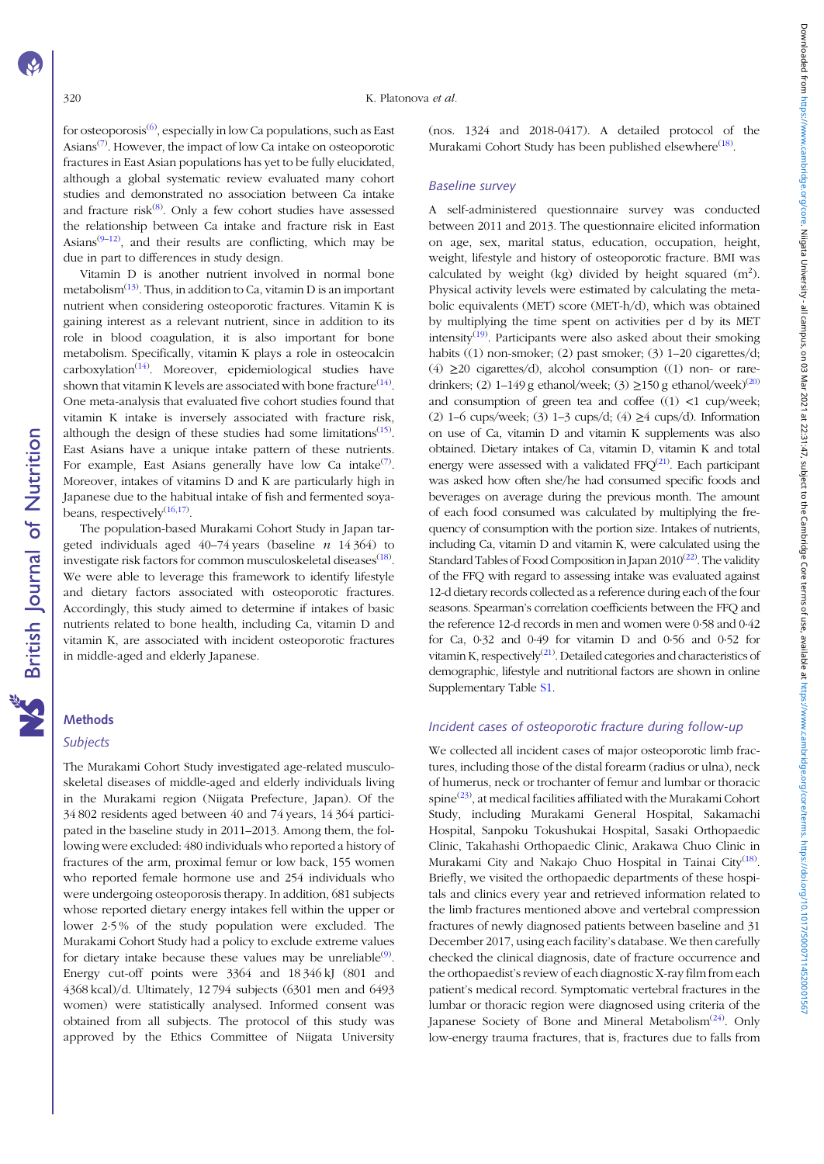for osteoporosis $^{(6)}$ , especially in low Ca populations, such as East Asians<sup>(7)</sup>. However, the impact of low Ca intake on osteoporotic fractures in East Asian populations has yet to be fully elucidated, although a global systematic review evaluated many cohort studies and demonstrated no association between Ca intake and fracture risk<sup>(8)</sup>. Only a few cohort studies have assessed the relationship between Ca intake and fracture risk in East Asians<sup>(9-12)</sup>, and their results are conflicting, which may be due in part to differences in study design.

Vitamin D is another nutrient involved in normal bone metabolism $^{(13)}$ . Thus, in addition to Ca, vitamin D is an important nutrient when considering osteoporotic fractures. Vitamin K is gaining interest as a relevant nutrient, since in addition to its role in blood coagulation, it is also important for bone metabolism. Specifically, vitamin K plays a role in osteocalcin carboxylation<sup>(14)</sup>. Moreover, epidemiological studies have shown that vitamin K levels are associated with bone fracture $^{(14)}$ . One meta-analysis that evaluated five cohort studies found that vitamin K intake is inversely associated with fracture risk, although the design of these studies had some limitations<sup>(15)</sup>. East Asians have a unique intake pattern of these nutrients. For example, East Asians generally have low Ca intake $^{(7)}$ . Moreover, intakes of vitamins D and K are particularly high in Japanese due to the habitual intake of fish and fermented soyabeans, respectively<sup>(16,17)</sup>.

The population-based Murakami Cohort Study in Japan targeted individuals aged  $40-74$  years (baseline  $n \quad 14 \quad 364$ ) to investigate risk factors for common musculoskeletal diseases $^{\left(18\right)}$ . We were able to leverage this framework to identify lifestyle and dietary factors associated with osteoporotic fractures. Accordingly, this study aimed to determine if intakes of basic nutrients related to bone health, including Ca, vitamin D and vitamin K, are associated with incident osteoporotic fractures in middle-aged and elderly Japanese.

# Methods

**NS** British Journal of Nutrition

#### Subjects

The Murakami Cohort Study investigated age-related musculoskeletal diseases of middle-aged and elderly individuals living in the Murakami region (Niigata Prefecture, Japan). Of the 34 802 residents aged between 40 and 74 years, 14 364 participated in the baseline study in 2011–2013. Among them, the following were excluded: 480 individuals who reported a history of fractures of the arm, proximal femur or low back, 155 women who reported female hormone use and 254 individuals who were undergoing osteoporosis therapy. In addition, 681 subjects whose reported dietary energy intakes fell within the upper or lower 2·5 % of the study population were excluded. The Murakami Cohort Study had a policy to exclude extreme values for dietary intake because these values may be unreliable $\mathcal{P}$ . Energy cut-off points were 3364 and 18346 kJ (801 and 4368 kcal)/d. Ultimately, 12 794 subjects (6301 men and 6493 women) were statistically analysed. Informed consent was obtained from all subjects. The protocol of this study was approved by the Ethics Committee of Niigata University

(nos. 1324 and 2018-0417). A detailed protocol of the Murakami Cohort Study has been published elsewhere<sup>(18)</sup>.

# Baseline survey

A self-administered questionnaire survey was conducted between 2011 and 2013. The questionnaire elicited information on age, sex, marital status, education, occupation, height, weight, lifestyle and history of osteoporotic fracture. BMI was calculated by weight (kg) divided by height squared  $(m^2)$ . Physical activity levels were estimated by calculating the metabolic equivalents (MET) score (MET-h/d), which was obtained by multiplying the time spent on activities per d by its MET intensity<sup>(19)</sup>. Participants were also asked about their smoking habits ((1) non-smoker; (2) past smoker; (3) 1–20 cigarettes/d; (4)  $\geq$ 20 cigarettes/d), alcohol consumption ((1) non- or raredrinkers; (2) 1–149 g ethanol/week; (3)  $\geq$ 150 g ethanol/week)<sup>(20)</sup> and consumption of green tea and coffee  $((1)$  <1 cup/week; (2) 1–6 cups/week; (3) 1–3 cups/d; (4)  $\geq$ 4 cups/d). Information on use of Ca, vitamin D and vitamin K supplements was also obtained. Dietary intakes of Ca, vitamin D, vitamin K and total energy were assessed with a validated FFQ $(21)$ . Each participant was asked how often she/he had consumed specific foods and beverages on average during the previous month. The amount of each food consumed was calculated by multiplying the frequency of consumption with the portion size. Intakes of nutrients, including Ca, vitamin D and vitamin K, were calculated using the Standard Tables of Food Composition in Japan 2010<sup>(22)</sup>. The validity of the FFQ with regard to assessing intake was evaluated against 12-d dietary records collected as a reference during each of the four seasons. Spearman's correlation coefficients between the FFQ and the reference 12-d records in men and women were 0·58 and 0·42 for Ca, 0·32 and 0·49 for vitamin D and 0·56 and 0·52 for vitamin K, respectively<sup>(21)</sup>. Detailed categories and characteristics of demographic, lifestyle and nutritional factors are shown in online Supplementary Table [S1](https://doi.org/10.1017/S0007114520001567).

#### Incident cases of osteoporotic fracture during follow-up

We collected all incident cases of major osteoporotic limb fractures, including those of the distal forearm (radius or ulna), neck of humerus, neck or trochanter of femur and lumbar or thoracic  $\text{spine}^{(23)}$ , at medical facilities affiliated with the Murakami Cohort Study, including Murakami General Hospital, Sakamachi Hospital, Sanpoku Tokushukai Hospital, Sasaki Orthopaedic Clinic, Takahashi Orthopaedic Clinic, Arakawa Chuo Clinic in Murakami City and Nakajo Chuo Hospital in Tainai City<sup>(18)</sup>. Briefly, we visited the orthopaedic departments of these hospitals and clinics every year and retrieved information related to the limb fractures mentioned above and vertebral compression fractures of newly diagnosed patients between baseline and 31 December 2017, using each facility's database. We then carefully checked the clinical diagnosis, date of fracture occurrence and the orthopaedist's review of each diagnostic X-ray film from each patient's medical record. Symptomatic vertebral fractures in the lumbar or thoracic region were diagnosed using criteria of the Japanese Society of Bone and Mineral Metabolism<sup>(24)</sup>. Only low-energy trauma fractures, that is, fractures due to falls from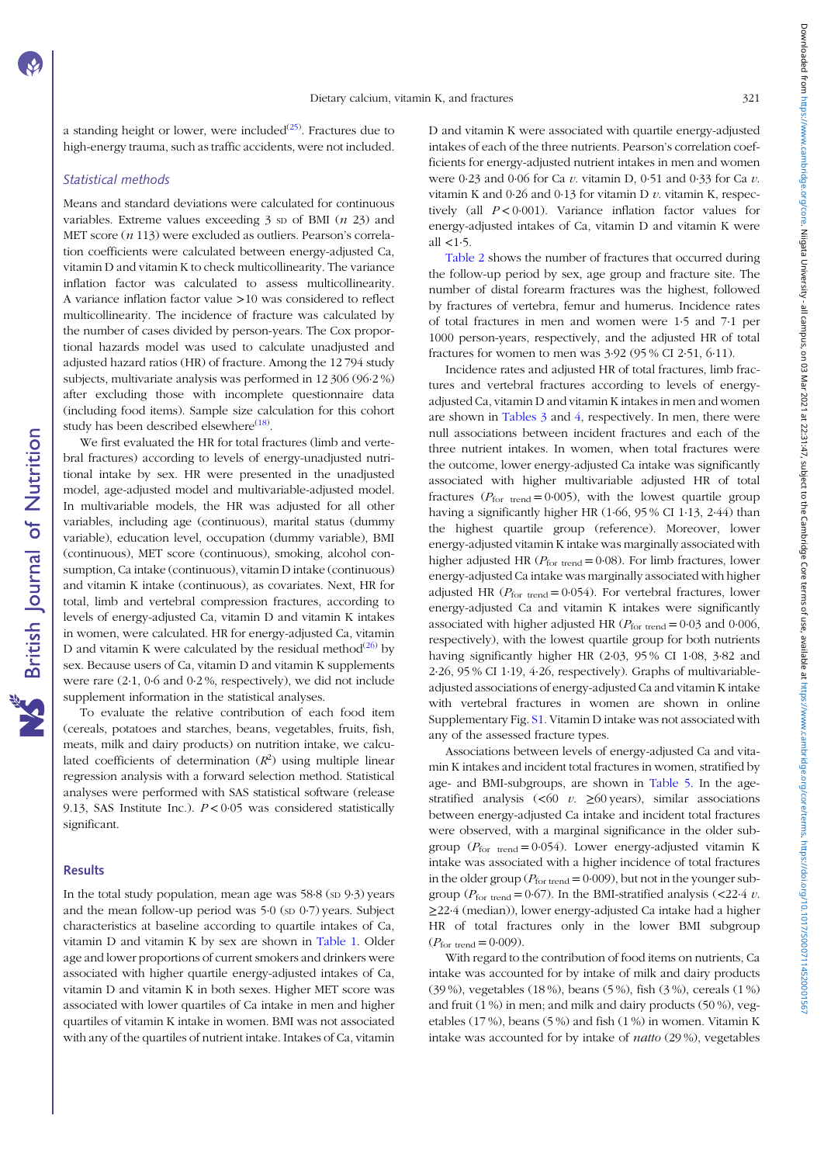a standing height or lower, were included<sup>(25)</sup>. Fractures due to high-energy trauma, such as traffic accidents, were not included.

# Statistical methods

Means and standard deviations were calculated for continuous variables. Extreme values exceeding  $3$  sp of BMI ( $n$  23) and MET score  $(n 113)$  were excluded as outliers. Pearson's correlation coefficients were calculated between energy-adjusted Ca, vitamin D and vitamin K to check multicollinearity. The variance inflation factor was calculated to assess multicollinearity. A variance inflation factor value >10 was considered to reflect multicollinearity. The incidence of fracture was calculated by the number of cases divided by person-years. The Cox proportional hazards model was used to calculate unadjusted and adjusted hazard ratios (HR) of fracture. Among the 12 794 study subjects, multivariate analysis was performed in 12 306 (96·2 %) after excluding those with incomplete questionnaire data (including food items). Sample size calculation for this cohort study has been described elsewhere<sup>(18)</sup>.

We first evaluated the HR for total fractures (limb and vertebral fractures) according to levels of energy-unadjusted nutritional intake by sex. HR were presented in the unadjusted model, age-adjusted model and multivariable-adjusted model. In multivariable models, the HR was adjusted for all other variables, including age (continuous), marital status (dummy variable), education level, occupation (dummy variable), BMI (continuous), MET score (continuous), smoking, alcohol consumption, Ca intake (continuous), vitamin D intake (continuous) and vitamin K intake (continuous), as covariates. Next, HR for total, limb and vertebral compression fractures, according to levels of energy-adjusted Ca, vitamin D and vitamin K intakes in women, were calculated. HR for energy-adjusted Ca, vitamin D and vitamin K were calculated by the residual method<sup>(26)</sup> by sex. Because users of Ca, vitamin D and vitamin K supplements were rare (2·1, 0·6 and 0·2 %, respectively), we did not include supplement information in the statistical analyses.

To evaluate the relative contribution of each food item (cereals, potatoes and starches, beans, vegetables, fruits, fish, meats, milk and dairy products) on nutrition intake, we calculated coefficients of determination  $(R^2)$  using multiple linear regression analysis with a forward selection method. Statistical analyses were performed with SAS statistical software (release 9.13, SAS Institute Inc.).  $P < 0.05$  was considered statistically significant.

## **Results**

In the total study population, mean age was  $58.8$  (sp  $9.3$ ) years and the mean follow-up period was  $5.0$  (sp  $0.7$ ) years. Subject characteristics at baseline according to quartile intakes of Ca, vitamin D and vitamin K by sex are shown in Table 1. Older age and lower proportions of current smokers and drinkers were associated with higher quartile energy-adjusted intakes of Ca, vitamin D and vitamin K in both sexes. Higher MET score was associated with lower quartiles of Ca intake in men and higher quartiles of vitamin K intake in women. BMI was not associated with any of the quartiles of nutrient intake. Intakes of Ca, vitamin D and vitamin K were associated with quartile energy-adjusted intakes of each of the three nutrients. Pearson's correlation coefficients for energy-adjusted nutrient intakes in men and women were 0.23 and 0.06 for Ca v. vitamin D, 0.51 and 0.33 for Ca v. vitamin K and  $0.26$  and  $0.13$  for vitamin D v, vitamin K, respectively (all  $P < 0.001$ ). Variance inflation factor values for energy-adjusted intakes of Ca, vitamin D and vitamin K were all  $< 1.5$ .

Table 2 shows the number of fractures that occurred during the follow-up period by sex, age group and fracture site. The number of distal forearm fractures was the highest, followed by fractures of vertebra, femur and humerus. Incidence rates of total fractures in men and women were 1·5 and 7·1 per 1000 person-years, respectively, and the adjusted HR of total fractures for women to men was 3·92 (95 % CI 2·51, 6·11).

Incidence rates and adjusted HR of total fractures, limb fractures and vertebral fractures according to levels of energyadjusted Ca, vitamin D and vitamin K intakes in men and women are shown in Tables 3 and 4, respectively. In men, there were null associations between incident fractures and each of the three nutrient intakes. In women, when total fractures were the outcome, lower energy-adjusted Ca intake was significantly associated with higher multivariable adjusted HR of total fractures ( $P_{\text{for trend}} = 0.005$ ), with the lowest quartile group having a significantly higher HR (1·66, 95 % CI 1·13, 2·44) than the highest quartile group (reference). Moreover, lower energy-adjusted vitamin K intake was marginally associated with higher adjusted HR ( $P_{\text{for trend}} = 0.08$ ). For limb fractures, lower energy-adjusted Ca intake was marginally associated with higher adjusted HR ( $P_{\text{for trend}} = 0.054$ ). For vertebral fractures, lower energy-adjusted Ca and vitamin K intakes were significantly associated with higher adjusted HR ( $P_{\text{for trend}} = 0.03$  and 0.006, respectively), with the lowest quartile group for both nutrients having significantly higher HR (2·03, 95 % CI 1·08, 3·82 and 2·26, 95 % CI 1·19, 4·26, respectively). Graphs of multivariableadjusted associations of energy-adjusted Ca and vitamin K intake with vertebral fractures in women are shown in online Supplementary Fig. [S1](https://doi.org/10.1017/S0007114520001567). Vitamin D intake was not associated with any of the assessed fracture types.

Associations between levels of energy-adjusted Ca and vitamin K intakes and incident total fractures in women, stratified by age- and BMI-subgroups, are shown in Table 5. In the agestratified analysis (<60  $v$ . ≥60 years), similar associations between energy-adjusted Ca intake and incident total fractures were observed, with a marginal significance in the older subgroup ( $P_{\text{for trend}} = 0.054$ ). Lower energy-adjusted vitamin K intake was associated with a higher incidence of total fractures in the older group ( $P_{\text{for trend}} = 0.009$ ), but not in the younger subgroup ( $P_{\text{for trend}} = 0.67$ ). In the BMI-stratified analysis (<22.4 v. ≥22·4 (median)), lower energy-adjusted Ca intake had a higher HR of total fractures only in the lower BMI subgroup  $(P_{\text{for trend}} = 0.009)$ .

With regard to the contribution of food items on nutrients, Ca intake was accounted for by intake of milk and dairy products (39 %), vegetables (18 %), beans (5 %), fish (3 %), cereals (1 %) and fruit (1 %) in men; and milk and dairy products (50 %), vegetables (17 %), beans (5 %) and fish (1 %) in women. Vitamin K intake was accounted for by intake of natto (29 %), vegetables Downloaded from https://www.cambridge.org/core. Niigata Universive - all camp as 100 and 22:31:47, subject to the Cambridge Core terms of use, available at https://www.cambridge.org/core/terms. https://doi.07117/5000711452 Downloaded from what more the start of the start of the 22:31:47, supject to the Cambridge Core ferms on use, available at https://www.cambridge.org/core/rems.intps://ooi.07/114520011145200111452001114520011145200111452001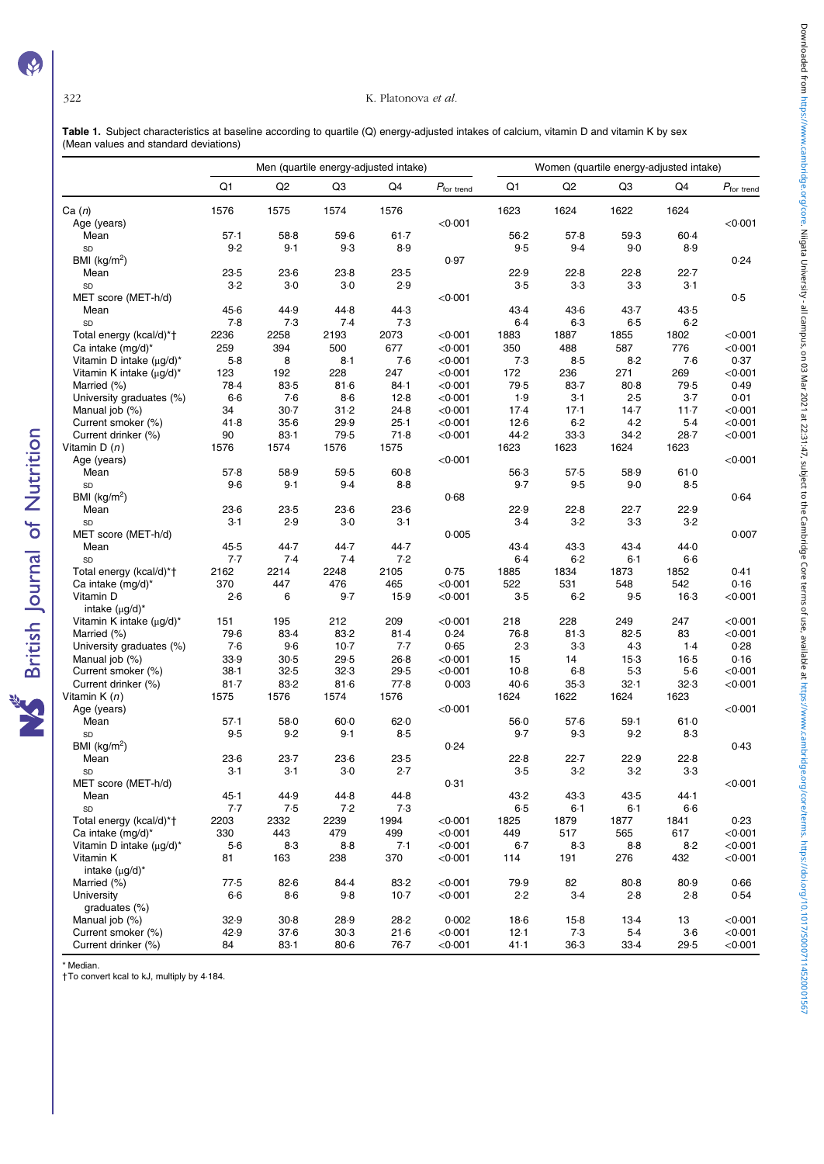**NS** British Journal of Nutrition

# 322 K. Platonova et al.

Table 1. Subject characteristics at baseline according to quartile (Q) energy-adjusted intakes of calcium, vitamin D and vitamin K by sex (Mean values and standard deviations)

|                                |          |                |          | Men (quartile energy-adjusted intake) |                      | Women (quartile energy-adjusted intake) |          |          |        |                        |  |
|--------------------------------|----------|----------------|----------|---------------------------------------|----------------------|-----------------------------------------|----------|----------|--------|------------------------|--|
|                                | Q1       | Q <sub>2</sub> | Q3       | Q4                                    | $P_{\rm for\ trend}$ | Q1                                      | Q2       | Q3       | Q4     | $P_{\text{for trend}}$ |  |
| Ca(n)                          | 1576     | 1575           | 1574     | 1576                                  |                      | 1623                                    | 1624     | 1622     | 1624   |                        |  |
| Age (years)                    |          |                |          |                                       | < 0.001              |                                         |          |          |        | < 0.001                |  |
| Mean                           | 57.1     | 58.8           | $59-6$   | $61 - 7$                              |                      | $56-2$                                  | 57.8     | 59.3     | 60.4   |                        |  |
| SD                             | 9.2      | 9.1            | 9.3      | 8.9                                   |                      | 9.5                                     | 9.4      | 9.0      | 8.9    |                        |  |
| BMI (kg/m <sup>2</sup> )       |          |                |          |                                       | 0.97                 |                                         |          |          |        | 0.24                   |  |
| Mean                           | 23.5     | $23-6$         | 23.8     | 23.5                                  |                      | 22.9                                    | 22.8     | 22.8     | 22.7   |                        |  |
| SD                             | $3-2$    | $3-0$          | $3-0$    | 2.9                                   |                      | $3-5$                                   | $3-3$    | $3-3$    | $3-1$  |                        |  |
| MET score (MET-h/d)            |          |                |          |                                       | < 0.001              |                                         |          |          |        | 0.5                    |  |
| Mean                           | 45.6     | 44.9           | 44.8     | 44.3                                  |                      | 43.4                                    | 43.6     | 43.7     | 43.5   |                        |  |
| SD                             | 7.8      | 7.3            | 7.4      | 7.3                                   |                      | 6.4                                     | $6-3$    | 6.5      | $6-2$  |                        |  |
| Total energy (kcal/d)*†        | 2236     | 2258           | 2193     | 2073                                  | < 0.001              | 1883                                    | 1887     | 1855     | 1802   | < 0.001                |  |
| Ca intake (mg/d)*              | 259      | 394            | 500      | 677                                   | < 0.001              | 350                                     | 488      | 587      | 776    | < 0.001                |  |
| Vitamin D intake $(\mu g/d)^*$ | $5-8$    | 8              | $8-1$    | 7.6                                   | < 0.001              | 7.3                                     | $8-5$    | 8.2      | 7.6    | 0.37                   |  |
| Vitamin K intake (µg/d)*       | 123      | 192            | 228      | 247                                   | < 0.001              | 172                                     | 236      | 271      | 269    | < 0.001                |  |
| Married (%)                    | 78.4     | 83-5           | 81.6     | 84.1                                  | < 0.001              | 79.5                                    | $83 - 7$ | $80 - 8$ | 79.5   | 0.49                   |  |
| University graduates (%)       | $6-6$    | 7.6            | $8-6$    | 12.8                                  | < 0.001              | 1.9                                     | $3-1$    | 2.5      | $3-7$  | 0.01                   |  |
| Manual job (%)                 | 34       | $30-7$         | 31.2     | 24.8                                  | < 0.001              | 17.4                                    | 17.1     | 14.7     | $11-7$ | < 0.001                |  |
|                                | 41.8     | $35-6$         | 29.9     | $25-1$                                | < 0.001              | 12.6                                    | $6-2$    | 4.2      | $5-4$  | < 0.001                |  |
| Current smoker (%)             |          |                |          |                                       |                      | 44.2                                    |          |          |        |                        |  |
| Current drinker (%)            | 90       | 83.1           | 79.5     | 71.8                                  | < 0.001              |                                         | 33.3     | 34.2     | $28-7$ | < 0.001                |  |
| Vitamin D $(n)$                | 1576     | 1574           | 1576     | 1575                                  |                      | 1623                                    | 1623     | 1624     | 1623   |                        |  |
| Age (years)                    |          |                |          |                                       | < 0.001              |                                         |          |          |        | < 0.001                |  |
| Mean                           | 57.8     | 58.9           | 59.5     | $60-8$                                |                      | $56-3$                                  | 57.5     | 58.9     | 61.0   |                        |  |
| SD                             | $9-6$    | 9.1            | 9.4      | $8-8$                                 |                      | $9-7$                                   | 9.5      | 9.0      | $8-5$  |                        |  |
| BMI ( $kg/m2$ )                |          |                |          |                                       | 0.68                 |                                         |          |          |        | 0.64                   |  |
| Mean                           | $23-6$   | 23.5           | $23-6$   | $23-6$                                |                      | 22.9                                    | 22.8     | 22.7     | 22.9   |                        |  |
| SD                             | $3-1$    | 2.9            | $3-0$    | $3-1$                                 |                      | $3-4$                                   | $3-2$    | $3-3$    | $3-2$  |                        |  |
| MET score (MET-h/d)            |          |                |          |                                       | 0.005                |                                         |          |          |        | 0.007                  |  |
| Mean                           | 45.5     | 44.7           | 44.7     | 44.7                                  |                      | 43.4                                    | 43.3     | 43.4     | 44.0   |                        |  |
| SD                             | 7.7      | 7.4            | 7.4      | 7.2                                   |                      | $6-4$                                   | 6.2      | $6-1$    | $6-6$  |                        |  |
| Total energy (kcal/d)*†        | 2162     | 2214           | 2248     | 2105                                  | 0.75                 | 1885                                    | 1834     | 1873     | 1852   | 0.41                   |  |
| Ca intake $(mg/d)^*$           | 370      | 447            | 476      | 465                                   | < 0.001              | 522                                     | 531      | 548      | 542    | 0.16                   |  |
| Vitamin D                      | 2.6      | 6              | 9.7      | 15.9                                  | < 0.001              | $3-5$                                   | $6-2$    | 9.5      | $16-3$ | < 0.001                |  |
| intake $(\mu q/d)^*$           |          |                |          |                                       |                      |                                         |          |          |        |                        |  |
| Vitamin K intake (µg/d)*       | 151      | 195            | 212      | 209                                   | < 0.001              | 218                                     | 228      | 249      | 247    | < 0.001                |  |
| Married (%)                    | 79.6     | 83.4           | 83-2     | 81.4                                  | 0.24                 | 76.8                                    | 81.3     | 82.5     | 83     | < 0.001                |  |
| University graduates (%)       | 7.6      | $9-6$          | $10-7$   | 7.7                                   | 0.65                 | 2.3                                     | $3-3$    | 4.3      | $1-4$  | 0.28                   |  |
| Manual job (%)                 | 33.9     | 30.5           | 29.5     | $26-8$                                | < 0.001              | 15                                      | 14       | $15-3$   | $16-5$ | 0.16                   |  |
| Current smoker (%)             | $38 - 1$ | 32.5           | 32.3     | 29.5                                  | < 0.001              | $10-8$                                  | $6-8$    | 5.3      | $5-6$  | < 0.001                |  |
| Current drinker (%)            | $81 - 7$ | 83.2           | 81.6     | 77.8                                  | 0.003                | $40-6$                                  | 35.3     | 32.1     | 32.3   | < 0.001                |  |
| Vitamin K (n)                  | 1575     | 1576           | 1574     | 1576                                  |                      | 1624                                    | 1622     | 1624     | 1623   |                        |  |
| Age (years)                    |          |                |          |                                       | < 0.001              |                                         |          |          |        | < 0.001                |  |
| Mean                           | 57.1     | 58.0           | $60-0$   | 62.0                                  |                      | $56-0$                                  | 57.6     | 59.1     | 61.0   |                        |  |
| SD                             | 9.5      | 9.2            | $9-1$    | $8-5$                                 |                      | $9-7$                                   | 9.3      | 9.2      | $8-3$  |                        |  |
| BMI ( $kg/m2$ )                |          |                |          |                                       | 0.24                 |                                         |          |          |        | 0.43                   |  |
| Mean                           | $23-6$   | 23.7           | $23-6$   | 23.5                                  |                      | 22.8                                    | 22.7     | 22.9     | 22.8   |                        |  |
| SD                             | $3-1$    | $3-1$          | $3-0$    | 2.7                                   |                      | 3.5                                     | $3-2$    | $3-2$    | 3.3    |                        |  |
| MET score (MET-h/d)            |          |                |          |                                       | 0.31                 |                                         |          |          |        | < 0.001                |  |
| Mean                           | 45.1     | 44.9           | 44.8     | 44.8                                  |                      | 43.2                                    | 43.3     | 43.5     | 44.1   |                        |  |
| SD                             | 7.7      | 7.5            | 7.2      | 7.3                                   |                      | 6.5                                     | $6 - 1$  | $6 - 1$  | $6-6$  |                        |  |
| Total energy (kcal/d)*†        | 2203     | 2332           | 2239     | 1994                                  | < 0.001              | 1825                                    | 1879     | 1877     | 1841   | 0.23                   |  |
| Ca intake (mg/d)*              | 330      | 443            | 479      | 499                                   | < 0.001              | 449                                     | 517      | 565      | 617    | < 0.001                |  |
| Vitamin D intake $(\mu g/d)^*$ | $5-6$    | $8-3$          | $8-8$    | 7.1                                   | < 0.001              | $6-7$                                   | 8.3      | $8-8$    | $8-2$  | < 0.001                |  |
|                                |          |                |          |                                       | < 0.001              |                                         |          |          |        | < 0.001                |  |
| Vitamin K                      | 81       | 163            | 238      | 370                                   |                      | 114                                     | 191      | 276      | 432    |                        |  |
| intake $(\mu g/d)^*$           |          |                |          |                                       |                      |                                         |          |          |        |                        |  |
| Married (%)                    | 77.5     | 82.6           | 84.4     | 83-2                                  | < 0.001              | 79.9                                    | 82       | $80 - 8$ | 80.9   | 0.66                   |  |
| University                     | $6-6$    | $8-6$          | 9.8      | $10-7$                                | < 0.001              | 2.2                                     | $3-4$    | 2.8      | 2.8    | 0.54                   |  |
| graduates (%)                  |          |                |          |                                       |                      |                                         |          |          |        |                        |  |
| Manual job (%)                 | 32.9     | $30-8$         | 28.9     | 28.2                                  | 0.002                | $18-6$                                  | $15-8$   | 13.4     | 13     | < 0.001                |  |
| Current smoker (%)             | 42.9     | 37.6           | 30.3     | $21-6$                                | < 0.001              | 12.1                                    | 7.3      | $5-4$    | $3-6$  | < 0.001                |  |
| Current drinker (%)            | 84       | 83.1           | $80 - 6$ | 76.7                                  | < 0.001              | 41.1                                    | $36-3$   | $33-4$   | 29.5   | < 0.001                |  |

\* Median. †To convert kcal to kJ, multiply by 4·184.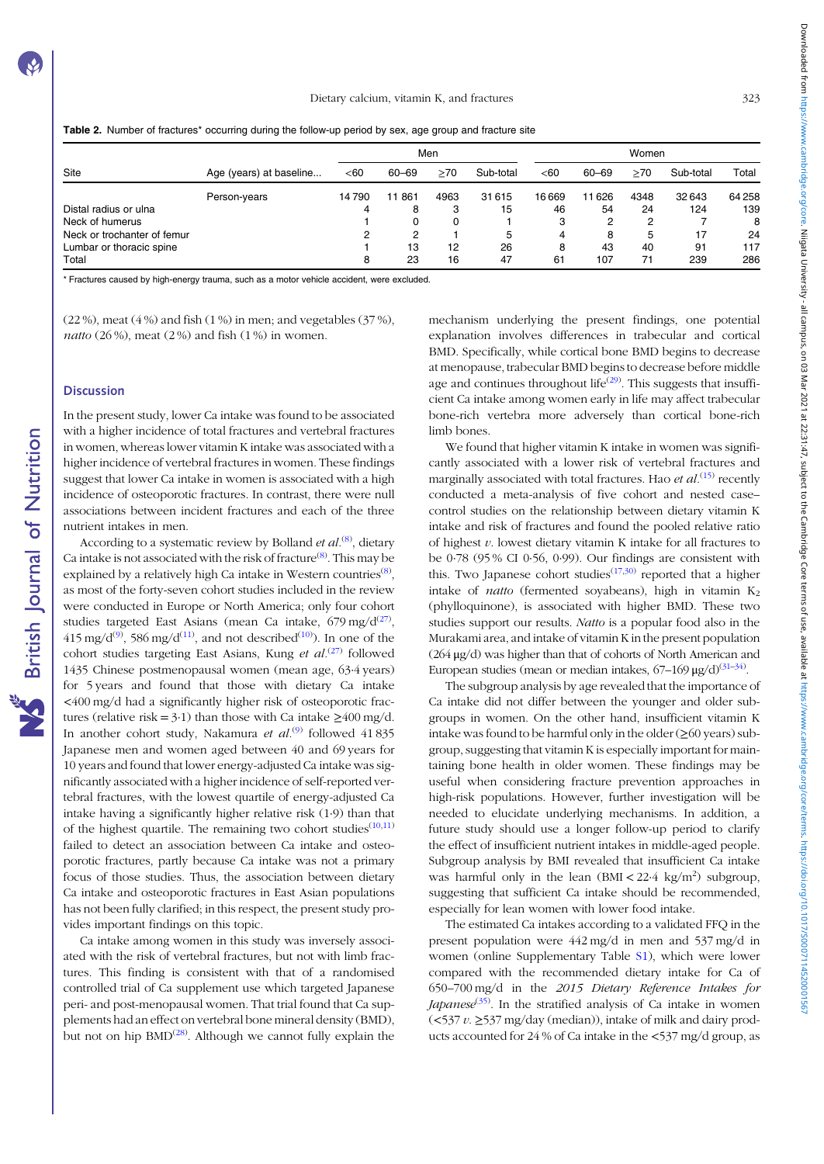|  | Table 2. Number of fractures* occurring during the follow-up period by sex, age group and fracture site |  |
|--|---------------------------------------------------------------------------------------------------------|--|
|  |                                                                                                         |  |

|                             |                         | Men   |           |      |           |       | Women |      |           |       |  |
|-----------------------------|-------------------------|-------|-----------|------|-----------|-------|-------|------|-----------|-------|--|
| <b>Site</b>                 | Age (years) at baseline | <60   | 60-69     | >70  | Sub-total | $60$  | 60-69 | >70  | Sub-total | Total |  |
|                             | Person-years            | 14790 | 861<br>11 | 4963 | 31615     | 16669 | 1626  | 4348 | 32643     | 64258 |  |
| Distal radius or ulna       |                         | 4     | 8         | 3    | 15        | 46    | 54    | 24   | 124       | 139   |  |
| Neck of humerus             |                         |       | 0         | 0    |           | 3     | ິ     | ິ    |           |       |  |
| Neck or trochanter of femur |                         |       | ິ         |      | 5         | 4     | 8     | 5    | 17        | 24    |  |
| Lumbar or thoracic spine    |                         |       | 13        | 12   | 26        | 8     | 43    | 40   | 91        | 117   |  |
| Total                       |                         | 8     | 23        | 16   | 47        | 61    | 107   | 71   | 239       | 286   |  |

\* Fractures caused by high-energy trauma, such as a motor vehicle accident, were excluded.

(22 %), meat  $(4\%)$  and fish  $(1\%)$  in men; and vegetables  $(37\%)$ , natto  $(26\%)$ , meat  $(2\%)$  and fish  $(1\%)$  in women.

#### **Discussion**

In the present study, lower Ca intake was found to be associated with a higher incidence of total fractures and vertebral fractures in women, whereas lower vitamin K intake was associated with a higher incidence of vertebral fractures in women. These findings suggest that lower Ca intake in women is associated with a high incidence of osteoporotic fractures. In contrast, there were null associations between incident fractures and each of the three nutrient intakes in men.

According to a systematic review by Bolland et al.<sup>(8)</sup>, dietary Ca intake is not associated with the risk of fracture $^{(8)}$ . This may be explained by a relatively high Ca intake in Western countries<sup>(8)</sup>, as most of the forty-seven cohort studies included in the review were conducted in Europe or North America; only four cohort studies targeted East Asians (mean Ca intake,  $679 \text{ mg}/d^{(27)}$ ,  $415 \text{ mg/d}^{(9)}$ , 586 mg/d<sup>(11)</sup>, and not described<sup>(10)</sup>). In one of the cohort studies targeting East Asians, Kung et  $al^{(27)}$  followed 1435 Chinese postmenopausal women (mean age, 63·4 years) for 5 years and found that those with dietary Ca intake <400 mg/d had a significantly higher risk of osteoporotic fractures (relative risk = 3·1) than those with Ca intake  $\geq 400$  mg/d. In another cohort study, Nakamura et  $al^{(9)}$  followed 41835 Japanese men and women aged between 40 and 69 years for 10 years and found that lower energy-adjusted Ca intake was significantly associated with a higher incidence of self-reported vertebral fractures, with the lowest quartile of energy-adjusted Ca intake having a significantly higher relative risk (1·9) than that of the highest quartile. The remaining two cohort studies $(10,11)$ failed to detect an association between Ca intake and osteoporotic fractures, partly because Ca intake was not a primary focus of those studies. Thus, the association between dietary Ca intake and osteoporotic fractures in East Asian populations has not been fully clarified; in this respect, the present study provides important findings on this topic.

Ca intake among women in this study was inversely associated with the risk of vertebral fractures, but not with limb fractures. This finding is consistent with that of a randomised controlled trial of Ca supplement use which targeted Japanese peri- and post-menopausal women. That trial found that Ca supplements had an effect on vertebral bone mineral density (BMD), but not on hip  $\text{BMD}^{(28)}$ . Although we cannot fully explain the mechanism underlying the present findings, one potential explanation involves differences in trabecular and cortical BMD. Specifically, while cortical bone BMD begins to decrease at menopause, trabecular BMD begins to decrease before middle age and continues throughout life<sup>(29)</sup>. This suggests that insufficient Ca intake among women early in life may affect trabecular bone-rich vertebra more adversely than cortical bone-rich limb bones.

We found that higher vitamin K intake in women was significantly associated with a lower risk of vertebral fractures and marginally associated with total fractures. Hao *et al.*<sup>(15)</sup> recently conducted a meta-analysis of five cohort and nested case– control studies on the relationship between dietary vitamin K intake and risk of fractures and found the pooled relative ratio of highest  $v$ . lowest dietary vitamin K intake for all fractures to be 0·78 (95 % CI 0·56, 0·99). Our findings are consistent with this. Two Japanese cohort studies<sup> $(17,30)$ </sup> reported that a higher intake of *natto* (fermented soyabeans), high in vitamin  $K<sub>2</sub>$ (phylloquinone), is associated with higher BMD. These two studies support our results. Natto is a popular food also in the Murakami area, and intake of vitamin K in the present population (264 μg/d) was higher than that of cohorts of North American and European studies (mean or median intakes,  $67-169 \mu g/d$ ) $(31-34)$ .

The subgroup analysis by age revealed that the importance of Ca intake did not differ between the younger and older subgroups in women. On the other hand, insufficient vitamin K intake was found to be harmful only in the older  $(\geq 60 \text{ years})$  subgroup, suggesting that vitamin K is especially important for maintaining bone health in older women. These findings may be useful when considering fracture prevention approaches in high-risk populations. However, further investigation will be needed to elucidate underlying mechanisms. In addition, a future study should use a longer follow-up period to clarify the effect of insufficient nutrient intakes in middle-aged people. Subgroup analysis by BMI revealed that insufficient Ca intake was harmful only in the lean  $(BMI < 22.4 \text{ kg/m}^2)$  subgroup, suggesting that sufficient Ca intake should be recommended, especially for lean women with lower food intake.

The estimated Ca intakes according to a validated FFQ in the present population were 442 mg/d in men and 537 mg/d in women (online Supplementary Table [S1\)](https://doi.org/10.1017/S0007114520001567), which were lower compared with the recommended dietary intake for Ca of 650–700 mg/d in the 2015 Dietary Reference Intakes for Japanese<sup>(35)</sup>. In the stratified analysis of Ca intake in women (<537 v. ≥537 mg/day (median)), intake of milk and dairy products accounted for 24 % of Ca intake in the <537 mg/d group, as

Downloaded from https://www.cambridge.org/core. Niigata Universive and as 2023147, subject to the Cambridge Core terms of use, available at https://www.cambridge.org/core/terms. https://org/10/10/7/50007114520001560016 Downloaded from what more the start of the start of the 22:31:47, supject to the Cambridge Core ferms on use, available at https://www.cambridge.org/core/rems.intps://ooi.07/114520011145200111452001114520011145200111452001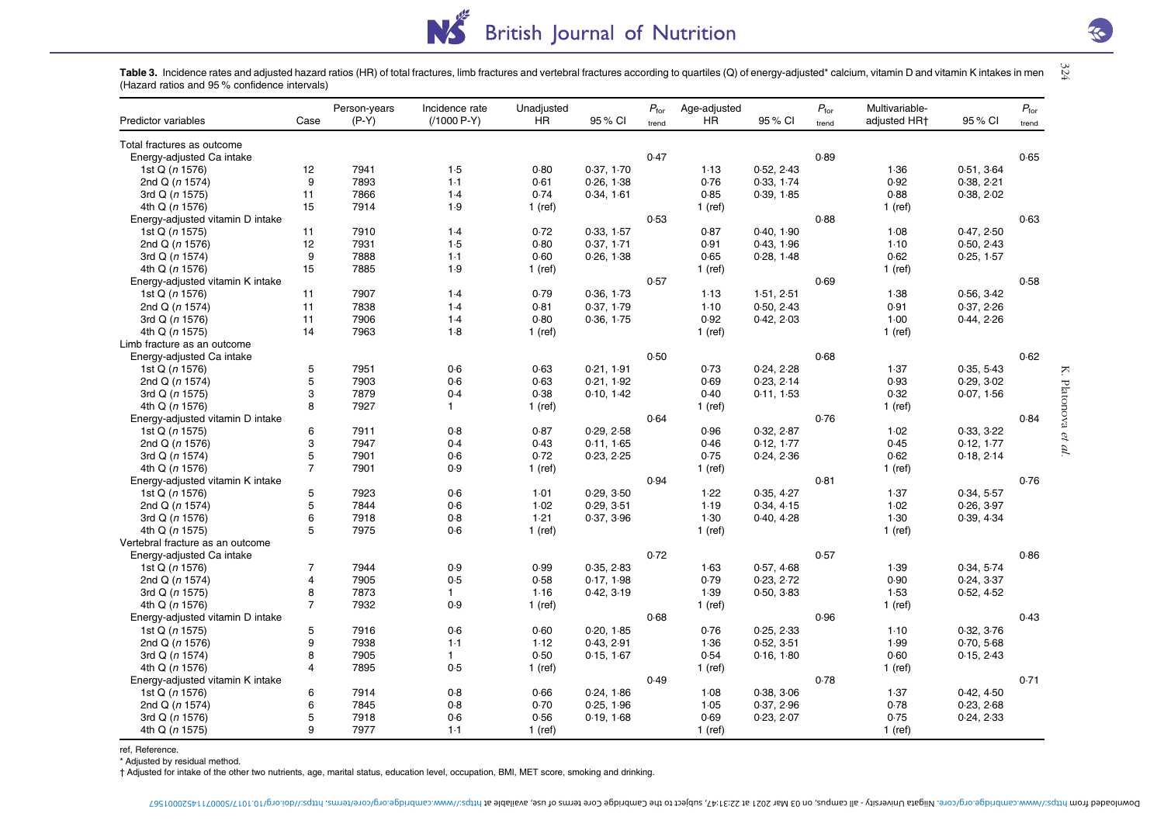# NS<sup>E</sup> **British Journal of Nutrition**

 $324\,$ Table 3. Incidence rates and adjusted hazard ratios (HR) of total fractures, limb fractures and vertebral fractures according to quartiles (Q) of energy-adjusted\* calcium, vitamin D and vitamin K intakes in men (Hazard ratios and 95 % confidence intervals)

| Predictor variables              | Case             | Person-years<br>$(P-Y)$ | Incidence rate<br>$(1000 P-Y)$ | Unadjusted<br>HR | 95% CI     | $P_{\rm for}$ | Age-adjusted<br>HR | 95 % CI    | $P_{\rm for}$<br>trend | Multivariable-<br>adjusted HR+ | 95 % CI    | $P_{\rm for}$ |
|----------------------------------|------------------|-------------------------|--------------------------------|------------------|------------|---------------|--------------------|------------|------------------------|--------------------------------|------------|---------------|
|                                  |                  |                         |                                |                  |            | trend         |                    |            |                        |                                |            | trend         |
| Total fractures as outcome       |                  |                         |                                |                  |            | 0.47          |                    |            | 0.89                   |                                |            | 0.65          |
| Energy-adjusted Ca intake        |                  |                         |                                |                  |            |               |                    | 0.52, 2.43 |                        |                                | 0.51, 3.64 |               |
| 1st Q (n 1576)                   | 12<br>9          | 7941<br>7893            | 1.5<br>$1-1$                   | 0.80<br>0.61     | 0.37, 1.70 |               | 1.13               |            |                        | 1.36<br>0.92                   |            |               |
| 2nd Q (n 1574)                   |                  |                         |                                |                  | 0.26, 1.38 |               | 0.76               | 0.33, 1.74 |                        |                                | 0.38, 2.21 |               |
| 3rd Q (n 1575)                   | 11<br>15         | 7866                    | 1.4                            | 0.74             | 0.34, 1.61 |               | 0.85               | 0.39, 1.85 |                        | 0.88                           | 0.38, 2.02 |               |
| 4th Q (n 1576)                   |                  | 7914                    | 1.9                            | $1$ (ref)        |            |               | 1 (ref)            |            |                        | $1$ (ref)                      |            |               |
| Energy-adjusted vitamin D intake |                  |                         |                                |                  |            | 0.53          |                    |            | 0.88                   |                                |            | 0.63          |
| 1st Q (n 1575)                   | 11               | 7910                    | 1.4                            | 0.72             | 0.33, 1.57 |               | 0.87               | 0.40, 1.90 |                        | 1.08                           | 0.47, 2.50 |               |
| 2nd $Q(n 1576)$                  | 12               | 7931                    | 1.5                            | 0.80             | 0.37, 1.71 |               | 0.91               | 0.43, 1.96 |                        | 1.10                           | 0.50, 2.43 |               |
| 3rd Q (n 1574)                   | 9                | 7888                    | $1-1$                          | 0.60             | 0.26, 1.38 |               | 0.65               | 0.28, 1.48 |                        | 0.62                           | 0.25, 1.57 |               |
| 4th Q (n 1576)                   | 15               | 7885                    | 1.9                            | $1$ (ref)        |            |               | 1 (ref)            |            |                        | $1$ (ref)                      |            |               |
| Energy-adjusted vitamin K intake |                  |                         |                                |                  |            | 0.57          |                    |            | 0.69                   |                                |            | 0.58          |
| 1st Q (n 1576)                   | 11               | 7907                    | 1.4                            | 0.79             | 0.36, 1.73 |               | 1.13               | 1.51, 2.51 |                        | 1.38                           | 0.56, 3.42 |               |
| 2nd Q (n 1574)                   | 11               | 7838                    | 1.4                            | 0.81             | 0.37, 1.79 |               | 1.10               | 0.50, 2.43 |                        | 0.91                           | 0.37, 2.26 |               |
| 3rd Q (n 1576)                   | 11               | 7906                    | 1.4                            | 0.80             | 0.36, 1.75 |               | 0.92               | 0.42, 2.03 |                        | 1.00                           | 0.44, 2.26 |               |
| 4th Q (n 1575)                   | 14               | 7963                    | $1-8$                          | $1$ (ref)        |            |               | 1 (ref)            |            |                        | $1$ (ref)                      |            |               |
| Limb fracture as an outcome      |                  |                         |                                |                  |            |               |                    |            |                        |                                |            |               |
| Energy-adjusted Ca intake        |                  |                         |                                |                  |            | 0.50          |                    |            | 0.68                   |                                |            | 0.62          |
| 1st Q (n 1576)                   | $\sqrt{5}$       | 7951                    | 0.6                            | 0.63             | 0.21, 1.91 |               | 0.73               | 0.24, 2.28 |                        | 1.37                           | 0.35, 5.43 |               |
| 2nd Q (n 1574)                   | $\sqrt{5}$       | 7903                    | 0.6                            | 0.63             | 0.21, 1.92 |               | 0.69               | 0.23, 2.14 |                        | 0.93                           | 0.29, 3.02 |               |
| 3rd Q (n 1575)                   | 3                | 7879                    | 0.4                            | 0.38             | 0.10, 1.42 |               | 0.40               | 0.11, 1.53 |                        | 0.32                           | 0.07, 1.56 |               |
| 4th Q (n 1576)                   | 8                | 7927                    | $\mathbf{1}$                   | $1$ (ref)        |            |               | 1 (ref)            |            |                        | 1 (ref)                        |            |               |
| Energy-adjusted vitamin D intake |                  |                         |                                |                  |            | 0.64          |                    |            | 0.76                   |                                |            | 0.84          |
| 1st Q (n 1575)                   | 6                | 7911                    | 0.8                            | 0.87             | 0.29, 2.58 |               | 0.96               | 0.32, 2.87 |                        | 1.02                           | 0.33, 3.22 |               |
| 2nd $Q(n 1576)$                  | 3                | 7947                    | 0.4                            | 0.43             | 0.11, 1.65 |               | 0.46               | 0.12, 1.77 |                        | 0.45                           | 0.12, 1.77 |               |
| 3rd Q (n 1574)                   | $\overline{5}$   | 7901                    | 0.6                            | 0.72             | 0.23, 2.25 |               | 0.75               | 0.24, 2.36 |                        | 0.62                           | 0.18, 2.14 |               |
| 4th Q (n 1576)                   | $\overline{7}$   | 7901                    | 0.9                            | 1 (ref)          |            |               | 1 (ref)            |            |                        | 1 (ref)                        |            |               |
| Energy-adjusted vitamin K intake |                  |                         |                                |                  |            | 0.94          |                    |            | 0.81                   |                                |            | 0.76          |
| 1st Q (n 1576)                   | $\sqrt{5}$       | 7923                    | 0.6                            | 1.01             | 0.29, 3.50 |               | 1.22               | 0.35, 4.27 |                        | 1.37                           | 0.34, 5.57 |               |
| 2nd Q (n 1574)                   | 5                | 7844                    | 0.6                            | 1.02             | 0.29, 3.51 |               | 1.19               | 0.34, 4.15 |                        | 1.02                           | 0.26, 3.97 |               |
| 3rd Q (n 1576)                   | 6                | 7918                    | 0.8                            | 1.21             | 0.37, 3.96 |               | 1.30               | 0.40, 4.28 |                        | 1.30                           | 0.39, 4.34 |               |
| 4th Q (n 1575)                   | 5                | 7975                    | 0.6                            | $1$ (ref)        |            |               | $1$ (ref)          |            |                        | $1$ (ref)                      |            |               |
| Vertebral fracture as an outcome |                  |                         |                                |                  |            |               |                    |            |                        |                                |            |               |
| Energy-adjusted Ca intake        |                  |                         |                                |                  |            | 0.72          |                    |            | 0.57                   |                                |            | 0.86          |
| 1st Q (n 1576)                   | $\overline{7}$   | 7944                    | 0.9                            | 0.99             | 0.35, 2.83 |               | 1.63               | 0.57, 4.68 |                        | 1.39                           | 0.34, 5.74 |               |
| 2nd Q (n 1574)                   | $\overline{4}$   | 7905                    | 0.5                            | 0.58             | 0.17, 1.98 |               | 0.79               | 0.23, 2.72 |                        | 0.90                           | 0.24, 3.37 |               |
| 3rd Q (n 1575)                   | 8                | 7873                    | $\mathbf{1}$                   | 1.16             | 0.42, 3.19 |               | 1.39               | 0.50, 3.83 |                        | 1.53                           | 0.52, 4.52 |               |
| 4th Q (n 1576)                   | $\overline{7}$   | 7932                    | 0.9                            | $1$ (ref)        |            |               | $1$ (ref)          |            |                        | 1 (ref)                        |            |               |
| Energy-adjusted vitamin D intake |                  |                         |                                |                  |            | 0.68          |                    |            | 0.96                   |                                |            | 0.43          |
| 1st Q (n 1575)                   | $\sqrt{5}$       | 7916                    | 0.6                            | 0.60             | 0.20, 1.85 |               | 0.76               | 0.25, 2.33 |                        | 1.10                           | 0.32, 3.76 |               |
| 2nd Q (n 1576)                   | $\boldsymbol{9}$ | 7938                    | $1-1$                          | 1.12             | 0.43, 2.91 |               | 1.36               | 0.52, 3.51 |                        | 1.99                           | 0.70, 5.68 |               |
| 3rd Q (n 1574)                   | 8                | 7905                    | $\mathbf{1}$                   | 0.50             | 0.15, 1.67 |               | 0.54               | 0.16, 1.80 |                        | 0.60                           | 0.15, 2.43 |               |
| 4th Q (n 1576)                   | 4                | 7895                    | 0.5                            | 1 (ref)          |            |               | $1$ (ref)          |            |                        | 1 (ref)                        |            |               |
| Energy-adjusted vitamin K intake |                  |                         |                                |                  |            | 0.49          |                    |            | 0.78                   |                                |            | 0.71          |
| 1st Q (n 1576)                   | 6                | 7914                    | 0.8                            | 0.66             | 0.24, 1.86 |               | 1.08               | 0.38, 3.06 |                        | 1.37                           | 0.42, 4.50 |               |
| 2nd Q (n 1574)                   | $\,6$            | 7845                    | 0.8                            | 0.70             | 0.25, 1.96 |               | 1.05               | 0.37, 2.96 |                        | 0.78                           | 0.23, 2.68 |               |
| 3rd Q (n 1576)                   | 5                | 7918                    | 0.6                            | 0.56             | 0.19, 1.68 |               | 0.69               | 0.23, 2.07 |                        | 0.75                           | 0.24, 2.33 |               |
| 4th Q (n 1575)                   | 9                | 7977                    | $1-1$                          | $1$ (ref)        |            |               | 1 (ref)            |            |                        | $1$ (ref)                      |            |               |

ref, Reference.

\* Adjusted by residual method.

† Adjusted for intake of the other two nutrients, age, marital status, education level, occupation, BMI, MET score, smoking and drinking.

Tobaded from http://www.cambridge.org/core.Nigata University - all cangus, 0n 03 231:47, subject to the Cambidge Core termo en 03 29:31:47, supposition as thus of the Cambidge Core termo bindina, and highal of the Cambidge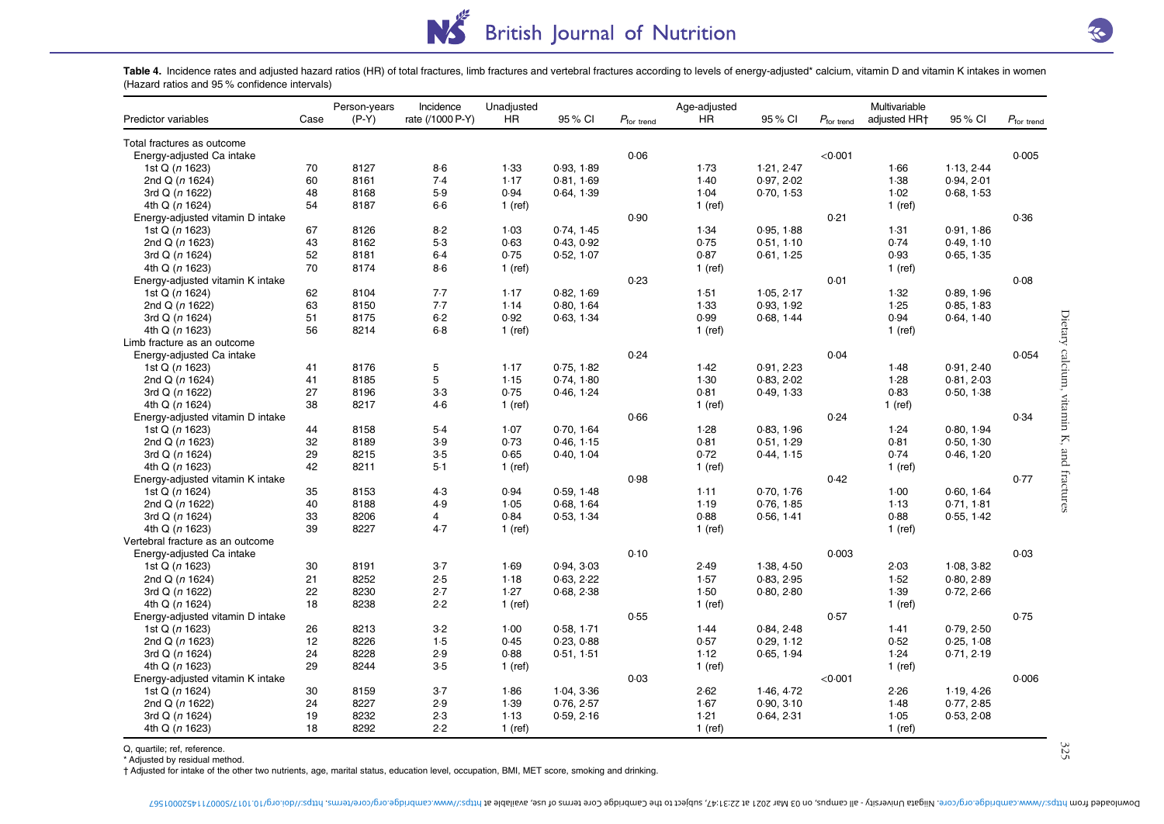# NS. British Journal of Nutrition

Table 4. Incidence rates and adjusted hazard ratios (HR) of total fractures, limb fractures and vertebral fractures according to levels of energy-adjusted\* calcium, vitamin D and vitamin K intakes in women (Hazard ratios and 95 % confidence intervals)

|                                  |      | Person-years | Incidence        | Unadjusted |            |                        | Age-adjusted |            |                        | Multivariable |            |                        |
|----------------------------------|------|--------------|------------------|------------|------------|------------------------|--------------|------------|------------------------|---------------|------------|------------------------|
| Predictor variables              | Case | $(P-Y)$      | rate (/1000 P-Y) | HR         | 95 % CI    | $P_{\text{for trend}}$ | <b>HR</b>    | 95 % CI    | $P_{\text{for trend}}$ | adjusted HR+  | 95 % CI    | $P_{\text{for trend}}$ |
| Total fractures as outcome       |      |              |                  |            |            |                        |              |            |                        |               |            |                        |
| Energy-adjusted Ca intake        |      |              |                  |            |            | 0.06                   |              |            | < 0.001                |               |            | 0.005                  |
| 1st Q (n 1623)                   | 70   | 8127         | $8-6$            | 1.33       | 0.93, 1.89 |                        | 1.73         | 1.21, 2.47 |                        | 1.66          | 1.13, 2.44 |                        |
| 2nd Q (n 1624)                   | 60   | 8161         | 7.4              | 1.17       | 0.81, 1.69 |                        | 1.40         | 0.97, 2.02 |                        | 1.38          | 0.94, 2.01 |                        |
| 3rd Q (n 1622)                   | 48   | 8168         | 5.9              | 0.94       | 0.64, 1.39 |                        | 1.04         | 0.70, 1.53 |                        | 1.02          | 0.68, 1.53 |                        |
| 4th Q (n 1624)                   | 54   | 8187         | $6-6$            | $1$ (ref)  |            |                        | 1 (ref)      |            |                        | 1 (ref)       |            |                        |
| Energy-adjusted vitamin D intake |      |              |                  |            |            | 0.90                   |              |            | 0.21                   |               |            | 0.36                   |
| 1st Q (n 1623)                   | 67   | 8126         | $8-2$            | 1.03       | 0.74, 1.45 |                        | 1.34         | 0.95, 1.88 |                        | 1.31          | 0.91, 1.86 |                        |
| 2nd Q (n 1623)                   | 43   | 8162         | $5-3$            | 0.63       | 0.43, 0.92 |                        | 0.75         | 0.51, 1.10 |                        | 0.74          | 0.49, 1.10 |                        |
| 3rd Q (n 1624)                   | 52   | 8181         | 6.4              | 0.75       | 0.52, 1.07 |                        | 0.87         | 0.61, 1.25 |                        | 0.93          | 0.65, 1.35 |                        |
| 4th Q (n 1623)                   | 70   | 8174         | $8-6$            | $1$ (ref)  |            |                        | $1$ (ref)    |            |                        | 1 (ref)       |            |                        |
| Energy-adjusted vitamin K intake |      |              |                  |            |            | 0.23                   |              |            | 0.01                   |               |            | 0.08                   |
| 1st Q (n 1624)                   | 62   | 8104         | 7.7              | 1.17       | 0.82, 1.69 |                        | 1.51         | 1.05, 2.17 |                        | 1.32          | 0.89, 1.96 |                        |
| 2nd Q (n 1622)                   | 63   | 8150         | 7.7              | 1.14       | 0.80, 1.64 |                        | 1.33         | 0.93, 1.92 |                        | 1.25          | 0.85, 1.83 |                        |
| 3rd Q (n 1624)                   | 51   | 8175         | $6 - 2$          | 0.92       | 0.63, 1.34 |                        | 0.99         | 0.68, 1.44 |                        | 0.94          | 0.64, 1.40 |                        |
| 4th Q (n 1623)                   | 56   | 8214         | $6-8$            | $1$ (ref)  |            |                        | 1 (ref)      |            |                        | $1$ (ref)     |            |                        |
| Limb fracture as an outcome      |      |              |                  |            |            |                        |              |            |                        |               |            |                        |
| Energy-adjusted Ca intake        |      |              |                  |            |            | 0.24                   |              |            | 0.04                   |               |            | 0.054                  |
| 1st Q (n 1623)                   | 41   | 8176         | 5                | 1.17       | 0.75, 1.82 |                        | 1.42         | 0.91, 2.23 |                        | 1.48          | 0.91, 2.40 |                        |
| 2nd Q (n 1624)                   | 41   | 8185         | 5                | 1.15       | 0.74, 1.80 |                        | 1.30         | 0.83, 2.02 |                        | 1.28          | 0.81, 2.03 |                        |
| 3rd Q (n 1622)                   | 27   | 8196         | $3-3$            | 0.75       | 0.46, 1.24 |                        | 0.81         | 0.49, 1.33 |                        | 0.83          | 0.50, 1.38 |                        |
|                                  | 38   | 8217         | 4.6              |            |            |                        |              |            |                        |               |            |                        |
| 4th Q (n 1624)                   |      |              |                  | $1$ (ref)  |            | 0.66                   | $1$ (ref)    |            | 0.24                   | 1 (ref)       |            | 0.34                   |
| Energy-adjusted vitamin D intake |      |              | 5.4              |            |            |                        |              | 0.83, 1.96 |                        |               | 0.80, 1.94 |                        |
| 1st Q (n 1623)                   | 44   | 8158         |                  | 1.07       | 0.70, 1.64 |                        | 1.28         |            |                        | 1.24          |            |                        |
| 2nd Q (n 1623)                   | 32   | 8189         | 3.9              | 0.73       | 0.46, 1.15 |                        | 0.81         | 0.51, 1.29 |                        | 0.81          | 0.50, 1.30 |                        |
| 3rd Q (n 1624)                   | 29   | 8215         | $3-5$            | 0.65       | 0.40, 1.04 |                        | 0.72         | 0.44, 1.15 |                        | 0.74          | 0.46, 1.20 |                        |
| 4th Q (n 1623)                   | 42   | 8211         | $5-1$            | 1 (ref)    |            |                        | 1 (ref)      |            |                        | 1 (ref)       |            |                        |
| Energy-adjusted vitamin K intake |      |              |                  |            |            | 0.98                   |              |            | 0.42                   |               |            | 0.77                   |
| 1st Q (n 1624)                   | 35   | 8153         | $4-3$            | 0.94       | 0.59, 1.48 |                        | 1.11         | 0.70, 1.76 |                        | 1.00          | 0.60, 1.64 |                        |
| 2nd Q (n 1622)                   | 40   | 8188         | 4.9              | 1.05       | 0.68, 1.64 |                        | 1.19         | 0.76, 1.85 |                        | 1.13          | 0.71, 1.81 |                        |
| 3rd Q (n 1624)                   | 33   | 8206         | $\overline{4}$   | 0.84       | 0.53, 1.34 |                        | 0.88         | 0.56, 1.41 |                        | 0.88          | 0.55, 1.42 |                        |
| 4th Q (n 1623)                   | 39   | 8227         | 4.7              | $1$ (ref)  |            |                        | $1$ (ref)    |            |                        | 1 (ref)       |            |                        |
| Vertebral fracture as an outcome |      |              |                  |            |            |                        |              |            |                        |               |            |                        |
| Energy-adjusted Ca intake        |      |              |                  |            |            | 0.10                   |              |            | 0.003                  |               |            | 0.03                   |
| 1st Q (n 1623)                   | 30   | 8191         | $3-7$            | 1.69       | 0.94, 3.03 |                        | 2.49         | 1.38, 4.50 |                        | 2.03          | 1.08, 3.82 |                        |
| 2nd Q (n 1624)                   | 21   | 8252         | 2.5              | 1.18       | 0.63, 2.22 |                        | 1.57         | 0.83, 2.95 |                        | 1.52          | 0.80, 2.89 |                        |
| 3rd Q (n 1622)                   | 22   | 8230         | 2.7              | 1.27       | 0.68, 2.38 |                        | 1.50         | 0.80, 2.80 |                        | 1.39          | 0.72, 2.66 |                        |
| 4th Q (n 1624)                   | 18   | 8238         | 2.2              | 1 (ref)    |            |                        | 1 (ref)      |            |                        | 1 (ref)       |            |                        |
| Energy-adjusted vitamin D intake |      |              |                  |            |            | 0.55                   |              |            | 0.57                   |               |            | 0.75                   |
| 1st Q (n 1623)                   | 26   | 8213         | $3-2$            | 1.00       | 0.58.1.71  |                        | 1.44         | 0.84, 2.48 |                        | 1.41          | 0.79, 2.50 |                        |
| 2nd Q (n 1623)                   | 12   | 8226         | 1.5              | 0.45       | 0.23, 0.88 |                        | 0.57         | 0.29, 1.12 |                        | 0.52          | 0.25, 1.08 |                        |
| 3rd Q (n 1624)                   | 24   | 8228         | 2.9              | 0.88       | 0.51, 1.51 |                        | 1.12         | 0.65, 1.94 |                        | 1.24          | 0.71, 2.19 |                        |
| 4th Q (n 1623)                   | 29   | 8244         | $3-5$            | $1$ (ref)  |            |                        | 1 (ref)      |            |                        | 1 (ref)       |            |                        |
| Energy-adjusted vitamin K intake |      |              |                  |            |            | 0.03                   |              |            | < 0.001                |               |            | 0.006                  |
| 1st Q (n 1624)                   | 30   | 8159         | $3-7$            | 1.86       | 1.04, 3.36 |                        | 2.62         | 1.46, 4.72 |                        | 2.26          | 1.19, 4.26 |                        |
| 2nd Q (n 1622)                   | 24   | 8227         | 2.9              | 1.39       | 0.76, 2.57 |                        | 1.67         | 0.90, 3.10 |                        | 1.48          | 0.77, 2.85 |                        |
| 3rd Q $(n 1624)$                 | 19   | 8232         | 2.3              | 1.13       | 0.59, 2.16 |                        | 1.21         | 0.64, 2.31 |                        | 1.05          | 0.53, 2.08 |                        |
| 4th Q (n 1623)                   | 18   | 8292         | 2.2              | $1$ (ref)  |            |                        | $1$ (ref)    |            |                        | $1$ (ref)     |            |                        |

Q, quartile; ref, reference.

\* Adjusted by residual method.

† Adjusted for intake of the other two nutrients, age, marital status, education level, occupation, BMI, MET score, smoking and drinking.

Dietary calcium, vitamin K, and fractures  $325$ 325

Dietary calcium, vitamin K, and fractures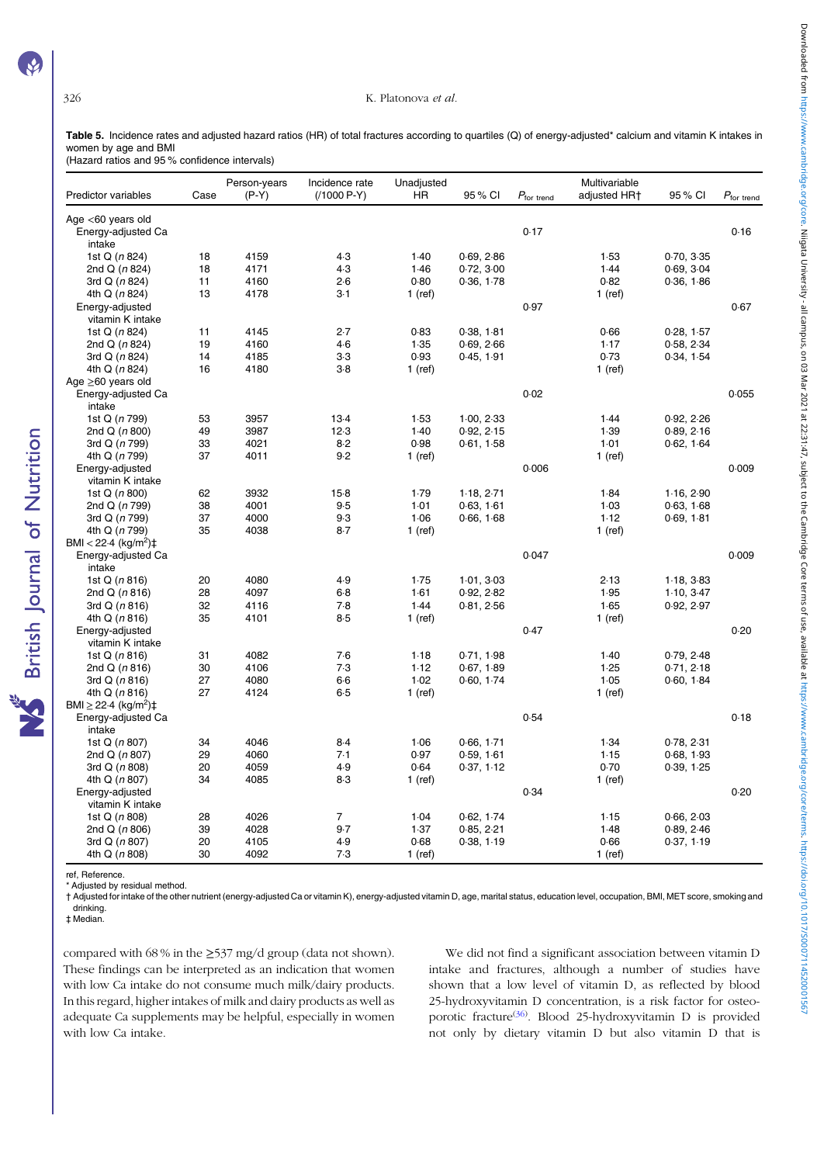**S** British Journal of Nutrition

#### 326 K. Platonova et al.

Table 5. Incidence rates and adjusted hazard ratios (HR) of total fractures according to quartiles (Q) of energy-adjusted\* calcium and vitamin K intakes in women by age and BMI

(Hazard ratios and 95 % confidence intervals)

| Predictor variables                        | Case | Person-years<br>$(P-Y)$ | Incidence rate<br>$(1000 P-Y)$ | Unadjusted<br><b>HR</b> | 95 % CI    | $P_{\text{for trend}}$ | Multivariable<br>adjusted HR+ | 95 % CI    | $P_{\text{for trend}}$ |
|--------------------------------------------|------|-------------------------|--------------------------------|-------------------------|------------|------------------------|-------------------------------|------------|------------------------|
| Age $<$ 60 years old<br>Energy-adjusted Ca |      |                         |                                |                         |            | 0.17                   |                               |            | 0.16                   |
| intake                                     |      |                         |                                |                         |            |                        |                               |            |                        |
| 1st Q (n 824)                              | 18   | 4159                    | 4.3                            | 1.40                    | 0.69, 2.86 |                        | 1.53                          | 0.70, 3.35 |                        |
| 2nd Q (n 824)                              | 18   | 4171                    | 4.3                            | 1.46                    | 0.72, 3.00 |                        | 1.44                          | 0.69, 3.04 |                        |
| 3rd Q (n 824)                              | 11   | 4160                    | 2.6                            | 0.80                    | 0.36, 1.78 |                        | 0.82                          | 0.36, 1.86 |                        |
| 4th Q (n 824)                              | 13   | 4178                    | $3-1$                          | $1$ (ref)               |            |                        | $1$ (ref)                     |            |                        |
| Energy-adjusted                            |      |                         |                                |                         |            | 0.97                   |                               |            | 0.67                   |
| vitamin K intake                           |      |                         |                                |                         |            |                        |                               |            |                        |
| 1st Q (n 824)                              | 11   | 4145                    | 2.7                            | 0.83                    | 0.38, 1.81 |                        | 0.66                          | 0.28, 1.57 |                        |
| 2nd Q $(n 824)$                            | 19   | 4160                    | $4-6$                          | 1.35                    | 0.69, 2.66 |                        | 1.17                          | 0.58, 2.34 |                        |
| 3rd Q (n 824)                              | 14   | 4185                    | $3-3$                          | 0.93                    | 0.45, 1.91 |                        | 0.73                          | 0.34, 1.54 |                        |
| 4th Q (n 824)                              | 16   | 4180                    | $3-8$                          | $1$ (ref)               |            |                        | $1$ (ref)                     |            |                        |
| Age $\geq 60$ years old                    |      |                         |                                |                         |            |                        |                               |            |                        |
| Energy-adjusted Ca<br>intake               |      |                         |                                |                         |            | 0.02                   |                               |            | 0.055                  |
| 1st Q (n 799)                              | 53   | 3957                    | $13-4$                         | 1.53                    | 1.00, 2.33 |                        | 1.44                          | 0.92, 2.26 |                        |
| 2nd $Q(n800)$                              | 49   | 3987                    | 12.3                           | 1.40                    | 0.92, 2.15 |                        | 1.39                          | 0.89, 2.16 |                        |
| 3rd Q (n 799)                              | 33   | 4021                    | $8-2$                          | 0.98                    | 0.61, 1.58 |                        | 1.01                          | 0.62, 1.64 |                        |
| 4th Q (n 799)                              | 37   | 4011                    | 9.2                            | $1$ (ref)               |            |                        | $1$ (ref)                     |            |                        |
| Energy-adjusted<br>vitamin K intake        |      |                         |                                |                         |            | 0.006                  |                               |            | 0.009                  |
| 1st Q (n 800)                              | 62   | 3932                    | $15-8$                         | 1.79                    | 1.18, 2.71 |                        | 1.84                          | 1.16, 2.90 |                        |
| 2nd Q (n 799)                              | 38   | 4001                    | 9.5                            | 1.01                    | 0.63, 1.61 |                        | 1.03                          | 0.63, 1.68 |                        |
| 3rd Q (n 799)                              | 37   | 4000                    | 9.3                            | 1.06                    | 0.66, 1.68 |                        | 1.12                          | 0.69, 1.81 |                        |
| 4th Q (n 799)                              | 35   | 4038                    | $8-7$                          | $1$ (ref)               |            |                        | 1 (ref)                       |            |                        |
| BMI < 22.4 (kg/m <sup>2</sup> ) $\ddagger$ |      |                         |                                |                         |            |                        |                               |            |                        |
| Energy-adjusted Ca<br>intake               |      |                         |                                |                         |            | 0.047                  |                               |            | 0.009                  |
| 1st Q $(n 816)$                            | 20   | 4080                    | 4.9                            | 1.75                    | 1.01, 3.03 |                        | 2.13                          | 1.18, 3.83 |                        |
| 2nd $Q(n 816)$                             | 28   | 4097                    | $6-8$                          | 1.61                    | 0.92, 2.82 |                        | 1.95                          | 1.10, 3.47 |                        |
| 3rd $Q(n 816)$                             | 32   | 4116                    | 7.8                            | 1.44                    | 0.81, 2.56 |                        | 1.65                          | 0.92, 2.97 |                        |
| 4th Q (n 816)                              | 35   | 4101                    | 8.5                            | $1$ (ref)               |            |                        | $1$ (ref)                     |            |                        |
| Energy-adjusted                            |      |                         |                                |                         |            | 0.47                   |                               |            | 0.20                   |
| vitamin K intake                           |      |                         |                                |                         |            |                        |                               |            |                        |
| 1st $Q(n816)$                              | 31   | 4082                    | 7.6                            | 1.18                    | 0.71, 1.98 |                        | 1.40                          | 0.79, 2.48 |                        |
| 2nd $Q(n 816)$                             | 30   | 4106                    | 7.3                            | 1.12                    | 0.67, 1.89 |                        | 1.25                          | 0.71, 2.18 |                        |
| 3rd $Q(n 816)$                             | 27   | 4080                    | $6-6$                          | 1.02                    | 0.60, 1.74 |                        | 1.05                          | 0.60, 1.84 |                        |
| 4th Q (n 816)                              | 27   | 4124                    | 6.5                            | $1$ (ref)               |            |                        | $1$ (ref)                     |            |                        |
| BMI $\geq$ 22.4 (kg/m <sup>2</sup> )‡      |      |                         |                                |                         |            |                        |                               |            |                        |
| Energy-adjusted Ca                         |      |                         |                                |                         |            | 0.54                   |                               |            | 0.18                   |
| intake                                     |      |                         |                                |                         |            |                        |                               |            |                        |
| 1st Q (n 807)                              | 34   | 4046                    | $8-4$                          | 1.06                    | 0.66, 1.71 |                        | 1.34                          | 0.78, 2.31 |                        |
| 2nd Q (n 807)                              | 29   | 4060                    | 7.1                            | 0.97                    | 0.59, 1.61 |                        | 1.15                          | 0.68, 1.93 |                        |
| 3rd Q (n 808)                              | 20   | 4059                    | 4.9                            | 0.64                    | 0.37, 1.12 |                        | 0.70                          | 0.39, 1.25 |                        |
| 4th Q (n 807)                              | 34   | 4085                    | 8.3                            | $1$ (ref)               |            |                        | 1 (ref)                       |            |                        |
| Energy-adjusted                            |      |                         |                                |                         |            | 0.34                   |                               |            | 0.20                   |
| vitamin K intake                           |      |                         |                                |                         |            |                        |                               |            |                        |
| 1st Q (n 808)                              | 28   | 4026                    | $\overline{7}$                 | 1.04                    | 0.62, 1.74 |                        | 1.15                          | 0.66, 2.03 |                        |
| 2nd $Q(n806)$                              | 39   | 4028                    | 9.7                            | 1.37                    | 0.85, 2.21 |                        | 1.48                          | 0.89, 2.46 |                        |
| 3rd $Q(n807)$                              | 20   | 4105                    | 4.9                            | 0.68                    | 0.38, 1.19 |                        | 0.66                          | 0.37, 1.19 |                        |
| 4th Q $(n 808)$                            | 30   | 4092                    | 7.3                            | $1$ (ref)               |            |                        | $1$ (ref)                     |            |                        |
|                                            |      |                         |                                |                         |            |                        |                               |            |                        |

ref, Reference.

\* Adjusted by residual method.

† Adjusted for intake of the other nutrient (energy-adjusted Ca or vitamin K), energy-adjusted vitamin D, age, marital status, education level, occupation, BMI, MET score, smoking and drinking.

‡ Median.

compared with  $68\%$  in the  $\geq 537$  mg/d group (data not shown). These findings can be interpreted as an indication that women with low Ca intake do not consume much milk/dairy products. In this regard, higher intakes of milk and dairy products as well as adequate Ca supplements may be helpful, especially in women with low Ca intake.

We did not find a significant association between vitamin D intake and fractures, although a number of studies have shown that a low level of vitamin D, as reflected by blood 25-hydroxyvitamin D concentration, is a risk factor for osteoporotic fracture<sup>(36)</sup>. Blood 25-hydroxyvitamin D is provided not only by dietary vitamin D but also vitamin D that is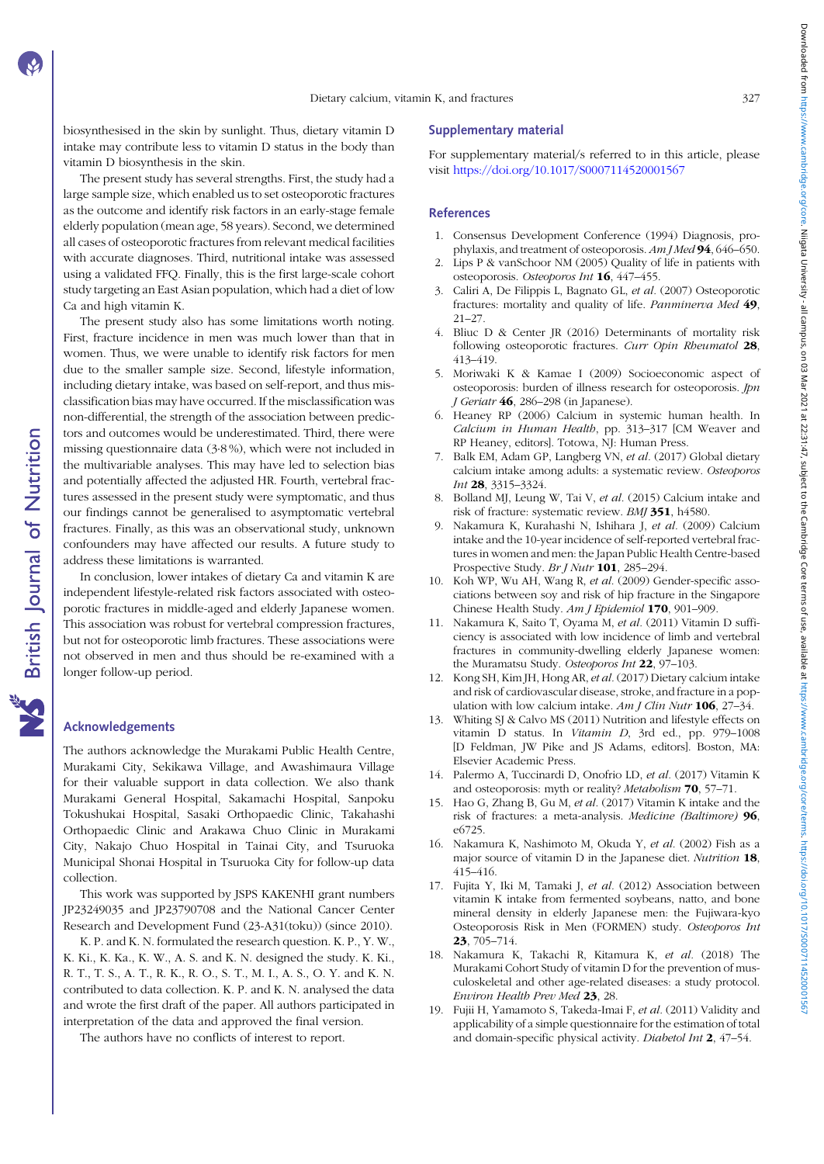biosynthesised in the skin by sunlight. Thus, dietary vitamin D intake may contribute less to vitamin D status in the body than vitamin D biosynthesis in the skin.

The present study has several strengths. First, the study had a large sample size, which enabled us to set osteoporotic fractures as the outcome and identify risk factors in an early-stage female elderly population (mean age, 58 years). Second, we determined all cases of osteoporotic fractures from relevant medical facilities with accurate diagnoses. Third, nutritional intake was assessed using a validated FFQ. Finally, this is the first large-scale cohort study targeting an East Asian population, which had a diet of low Ca and high vitamin K.

The present study also has some limitations worth noting. First, fracture incidence in men was much lower than that in women. Thus, we were unable to identify risk factors for men due to the smaller sample size. Second, lifestyle information, including dietary intake, was based on self-report, and thus misclassification bias may have occurred. If the misclassification was non-differential, the strength of the association between predictors and outcomes would be underestimated. Third, there were missing questionnaire data (3·8 %), which were not included in the multivariable analyses. This may have led to selection bias and potentially affected the adjusted HR. Fourth, vertebral fractures assessed in the present study were symptomatic, and thus our findings cannot be generalised to asymptomatic vertebral fractures. Finally, as this was an observational study, unknown confounders may have affected our results. A future study to address these limitations is warranted.

In conclusion, lower intakes of dietary Ca and vitamin K are independent lifestyle-related risk factors associated with osteoporotic fractures in middle-aged and elderly Japanese women. This association was robust for vertebral compression fractures, but not for osteoporotic limb fractures. These associations were not observed in men and thus should be re-examined with a longer follow-up period.

# Acknowledgements

The authors acknowledge the Murakami Public Health Centre, Murakami City, Sekikawa Village, and Awashimaura Village for their valuable support in data collection. We also thank Murakami General Hospital, Sakamachi Hospital, Sanpoku Tokushukai Hospital, Sasaki Orthopaedic Clinic, Takahashi Orthopaedic Clinic and Arakawa Chuo Clinic in Murakami City, Nakajo Chuo Hospital in Tainai City, and Tsuruoka Municipal Shonai Hospital in Tsuruoka City for follow-up data collection.

This work was supported by JSPS KAKENHI grant numbers JP23249035 and JP23790708 and the National Cancer Center Research and Development Fund (23-A31(toku)) (since 2010).

K. P. and K. N. formulated the research question. K. P., Y. W., K. Ki., K. Ka., K. W., A. S. and K. N. designed the study. K. Ki., R. T., T. S., A. T., R. K., R. O., S. T., M. I., A. S., O. Y. and K. N. contributed to data collection. K. P. and K. N. analysed the data and wrote the first draft of the paper. All authors participated in interpretation of the data and approved the final version.

The authors have no conflicts of interest to report.

#### Supplementary material

For supplementary material/s referred to in this article, please visit <https://doi.org/10.1017/S0007114520001567>

#### References

- 1. Consensus Development Conference (1994) Diagnosis, prophylaxis, and treatment of osteoporosis. Am J Med 94, 646-650.
- 2. Lips P & vanSchoor NM (2005) Quality of life in patients with osteoporosis. Osteoporos Int 16, 447–455.
- 3. Caliri A, De Filippis L, Bagnato GL, et al. (2007) Osteoporotic fractures: mortality and quality of life. Panminerva Med 49, 21–27.
- 4. Bliuc D & Center JR (2016) Determinants of mortality risk following osteoporotic fractures. Curr Opin Rheumatol 28, 413–419.
- 5. Moriwaki K & Kamae I (2009) Socioeconomic aspect of osteoporosis: burden of illness research for osteoporosis.  $\emph{lpn}$ J Geriatr 46, 286-298 (in Japanese).
- 6. Heaney RP (2006) Calcium in systemic human health. In Calcium in Human Health, pp. 313–317 [CM Weaver and RP Heaney, editors]. Totowa, NJ: Human Press.
- 7. Balk EM, Adam GP, Langberg VN, et al. (2017) Global dietary calcium intake among adults: a systematic review. Osteoporos Int 28, 3315–3324.
- 8. Bolland MJ, Leung W, Tai V, et al. (2015) Calcium intake and risk of fracture: systematic review. BMJ 351, h4580.
- 9. Nakamura K, Kurahashi N, Ishihara J, et al. (2009) Calcium intake and the 10-year incidence of self-reported vertebral fractures in women and men: the Japan Public Health Centre-based Prospective Study. Br J Nutr 101, 285-294.
- 10. Koh WP, Wu AH, Wang R, et al. (2009) Gender-specific associations between soy and risk of hip fracture in the Singapore Chinese Health Study. Am J Epidemiol 170, 901–909.
- 11. Nakamura K, Saito T, Oyama M, et al. (2011) Vitamin D sufficiency is associated with low incidence of limb and vertebral fractures in community-dwelling elderly Japanese women: the Muramatsu Study. Osteoporos Int 22, 97-103.
- 12. Kong SH, Kim JH, Hong AR, et al. (2017) Dietary calcium intake and risk of cardiovascular disease, stroke, and fracture in a population with low calcium intake.  $Am J Clin Nutr$  **106**, 27–34.
- 13. Whiting SJ & Calvo MS (2011) Nutrition and lifestyle effects on vitamin D status. In Vitamin D, 3rd ed., pp. 979–1008 [D Feldman, JW Pike and JS Adams, editors]. Boston, MA: Elsevier Academic Press.
- 14. Palermo A, Tuccinardi D, Onofrio LD, et al. (2017) Vitamin K and osteoporosis: myth or reality? Metabolism 70, 57–71.
- 15. Hao G, Zhang B, Gu M, et al. (2017) Vitamin K intake and the risk of fractures: a meta-analysis. Medicine (Baltimore) 96, e6725.
- 16. Nakamura K, Nashimoto M, Okuda Y, et al. (2002) Fish as a major source of vitamin D in the Japanese diet. Nutrition 18, 415–416.
- 17. Fujita Y, Iki M, Tamaki J, et al. (2012) Association between vitamin K intake from fermented soybeans, natto, and bone mineral density in elderly Japanese men: the Fujiwara-kyo Osteoporosis Risk in Men (FORMEN) study. Osteoporos Int 23, 705–714.
- 18. Nakamura K, Takachi R, Kitamura K, et al. (2018) The Murakami Cohort Study of vitamin D for the prevention of musculoskeletal and other age-related diseases: a study protocol. Environ Health Prev Med 23, 28.
- 19. Fujii H, Yamamoto S, Takeda-Imai F, et al. (2011) Validity and applicability of a simple questionnaire for the estimation of total and domain-specific physical activity. Diabetol Int 2, 47–54.

**NS** British Journal of Nutrition